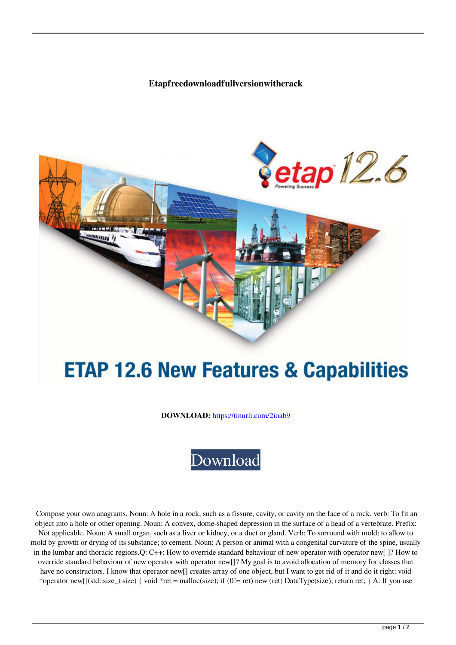## **Etapfreedownloadfullversionwithcrack**



## **ETAP 12.6 New Features & Capabilities**

**DOWNLOAD:** <https://tinurli.com/2ioab9>



 Compose your own anagrams. Noun: A hole in a rock, such as a fissure, cavity, or cavity on the face of a rock. verb: To fit an object into a hole or other opening. Noun: A convex, dome-shaped depression in the surface of a head of a vertebrate. Prefix: Not applicable. Noun: A small organ, such as a liver or kidney, or a duct or gland. Verb: To surround with mold; to allow to mold by growth or drying of its substance; to cement. Noun: A person or animal with a congenital curvature of the spine, usually in the lumbar and thoracic regions.Q: C++: How to override standard behaviour of new operator with operator new[ ]? How to override standard behaviour of new operator with operator new[]? My goal is to avoid allocation of memory for classes that have no constructors. I know that operator new[] creates array of one object, but I want to get rid of it and do it right: void \*operator new[](std::size\_t size) { void \*ret = malloc(size); if (0!= ret) new (ret) DataType(size); return ret; } A: If you use